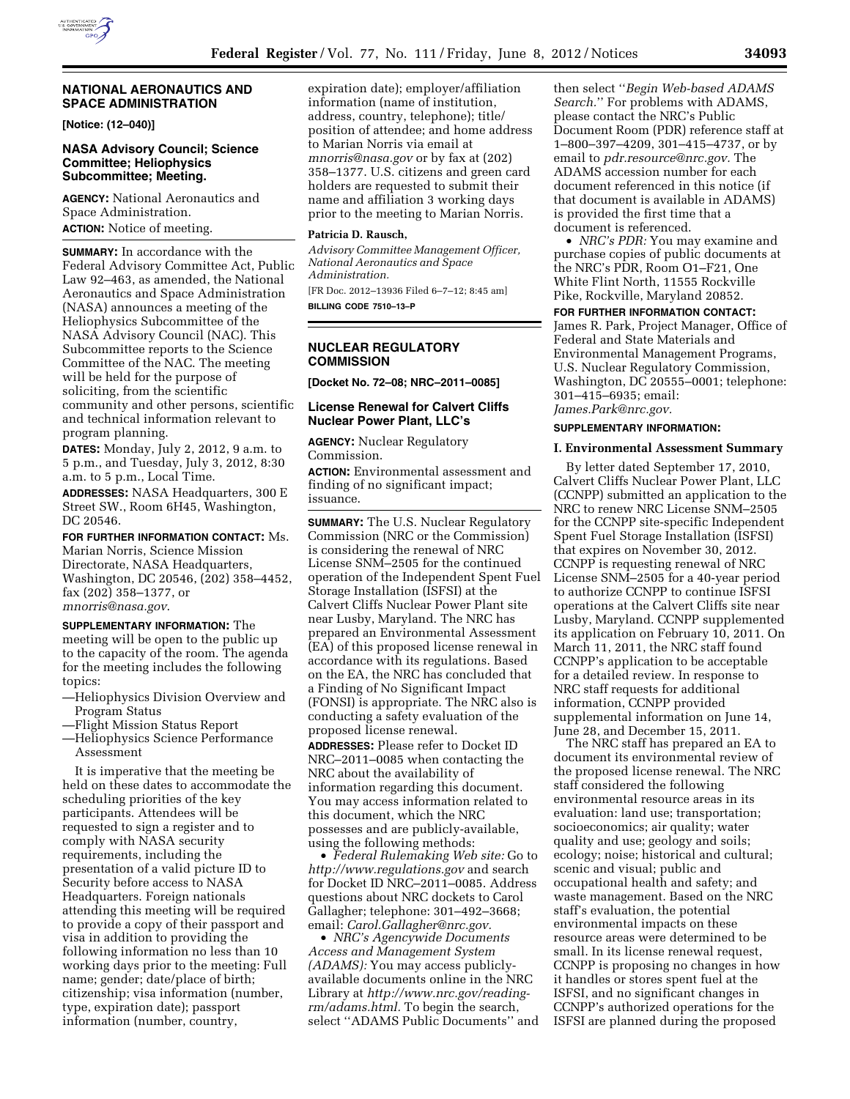## **NATIONAL AERONAUTICS AND SPACE ADMINISTRATION**

**[Notice: (12–040)]** 

## **NASA Advisory Council; Science Committee; Heliophysics Subcommittee; Meeting.**

**AGENCY:** National Aeronautics and Space Administration. **ACTION:** Notice of meeting.

**SUMMARY:** In accordance with the Federal Advisory Committee Act, Public Law 92–463, as amended, the National Aeronautics and Space Administration (NASA) announces a meeting of the Heliophysics Subcommittee of the NASA Advisory Council (NAC). This Subcommittee reports to the Science Committee of the NAC. The meeting will be held for the purpose of soliciting, from the scientific community and other persons, scientific and technical information relevant to program planning.

**DATES:** Monday, July 2, 2012, 9 a.m. to 5 p.m., and Tuesday, July 3, 2012, 8:30 a.m. to 5 p.m., Local Time.

**ADDRESSES:** NASA Headquarters, 300 E Street SW., Room 6H45, Washington, DC 20546.

**FOR FURTHER INFORMATION CONTACT:** Ms. Marian Norris, Science Mission Directorate, NASA Headquarters, Washington, DC 20546, (202) 358–4452, fax (202) 358–1377, or *[mnorris@nasa.gov](mailto:mnorris@nasa.gov)*.

**SUPPLEMENTARY INFORMATION:** The meeting will be open to the public up to the capacity of the room. The agenda for the meeting includes the following topics:

- —Heliophysics Division Overview and Program Status
- —Flight Mission Status Report
- —Heliophysics Science Performance Assessment

It is imperative that the meeting be held on these dates to accommodate the scheduling priorities of the key participants. Attendees will be requested to sign a register and to comply with NASA security requirements, including the presentation of a valid picture ID to Security before access to NASA Headquarters. Foreign nationals attending this meeting will be required to provide a copy of their passport and visa in addition to providing the following information no less than 10 working days prior to the meeting: Full name; gender; date/place of birth; citizenship; visa information (number, type, expiration date); passport information (number, country,

expiration date); employer/affiliation information (name of institution, address, country, telephone); title/ position of attendee; and home address to Marian Norris via email at *[mnorris@nasa.gov](mailto:mnorris@nasa.gov)* or by fax at (202) 358–1377. U.S. citizens and green card holders are requested to submit their name and affiliation 3 working days prior to the meeting to Marian Norris.

## **Patricia D. Rausch,**

*Advisory Committee Management Officer, National Aeronautics and Space Administration.*  [FR Doc. 2012–13936 Filed 6–7–12; 8:45 am]

**BILLING CODE 7510–13–P** 

## **NUCLEAR REGULATORY COMMISSION**

**[Docket No. 72–08; NRC–2011–0085]** 

## **License Renewal for Calvert Cliffs Nuclear Power Plant, LLC's**

**AGENCY:** Nuclear Regulatory Commission.

**ACTION:** Environmental assessment and finding of no significant impact; issuance.

**SUMMARY:** The U.S. Nuclear Regulatory Commission (NRC or the Commission) is considering the renewal of NRC License SNM–2505 for the continued operation of the Independent Spent Fuel Storage Installation (ISFSI) at the Calvert Cliffs Nuclear Power Plant site near Lusby, Maryland. The NRC has prepared an Environmental Assessment (EA) of this proposed license renewal in accordance with its regulations. Based on the EA, the NRC has concluded that a Finding of No Significant Impact (FONSI) is appropriate. The NRC also is conducting a safety evaluation of the proposed license renewal.

**ADDRESSES:** Please refer to Docket ID NRC–2011–0085 when contacting the NRC about the availability of information regarding this document. You may access information related to this document, which the NRC possesses and are publicly-available, using the following methods:

• *Federal Rulemaking Web site:* Go to *<http://www.regulations.gov>* and search for Docket ID NRC–2011–0085. Address questions about NRC dockets to Carol Gallagher; telephone: 301–492–3668; email: *[Carol.Gallagher@nrc.gov.](mailto:Carol.Gallagher@nrc.gov)* 

• *NRC's Agencywide Documents Access and Management System (ADAMS):* You may access publiclyavailable documents online in the NRC Library at *[http://www.nrc.gov/reading](http://www.nrc.gov/reading-rm/adams.html)[rm/adams.html.](http://www.nrc.gov/reading-rm/adams.html)* To begin the search, select ''ADAMS Public Documents'' and

then select ''*Begin Web-based ADAMS Search.*'' For problems with ADAMS, please contact the NRC's Public Document Room (PDR) reference staff at 1–800–397–4209, 301–415–4737, or by email to *[pdr.resource@nrc.gov.](mailto:pdr.resource@nrc.gov)* The ADAMS accession number for each document referenced in this notice (if that document is available in ADAMS) is provided the first time that a document is referenced.

• *NRC's PDR:* You may examine and purchase copies of public documents at the NRC's PDR, Room O1–F21, One White Flint North, 11555 Rockville Pike, Rockville, Maryland 20852.

**FOR FURTHER INFORMATION CONTACT:**  James R. Park, Project Manager, Office of Federal and State Materials and Environmental Management Programs, U.S. Nuclear Regulatory Commission, Washington, DC 20555–0001; telephone: 301–415–6935; email: *[James.Park@nrc.gov.](mailto:James.Park@nrc.gov)* 

## **SUPPLEMENTARY INFORMATION:**

### **I. Environmental Assessment Summary**

By letter dated September 17, 2010, Calvert Cliffs Nuclear Power Plant, LLC (CCNPP) submitted an application to the NRC to renew NRC License SNM–2505 for the CCNPP site-specific Independent Spent Fuel Storage Installation (ISFSI) that expires on November 30, 2012. CCNPP is requesting renewal of NRC License SNM–2505 for a 40-year period to authorize CCNPP to continue ISFSI operations at the Calvert Cliffs site near Lusby, Maryland. CCNPP supplemented its application on February 10, 2011. On March 11, 2011, the NRC staff found CCNPP's application to be acceptable for a detailed review. In response to NRC staff requests for additional information, CCNPP provided supplemental information on June 14, June 28, and December 15, 2011.

The NRC staff has prepared an EA to document its environmental review of the proposed license renewal. The NRC staff considered the following environmental resource areas in its evaluation: land use; transportation; socioeconomics; air quality; water quality and use; geology and soils; ecology; noise; historical and cultural; scenic and visual; public and occupational health and safety; and waste management. Based on the NRC staff's evaluation, the potential environmental impacts on these resource areas were determined to be small. In its license renewal request, CCNPP is proposing no changes in how it handles or stores spent fuel at the ISFSI, and no significant changes in CCNPP's authorized operations for the ISFSI are planned during the proposed